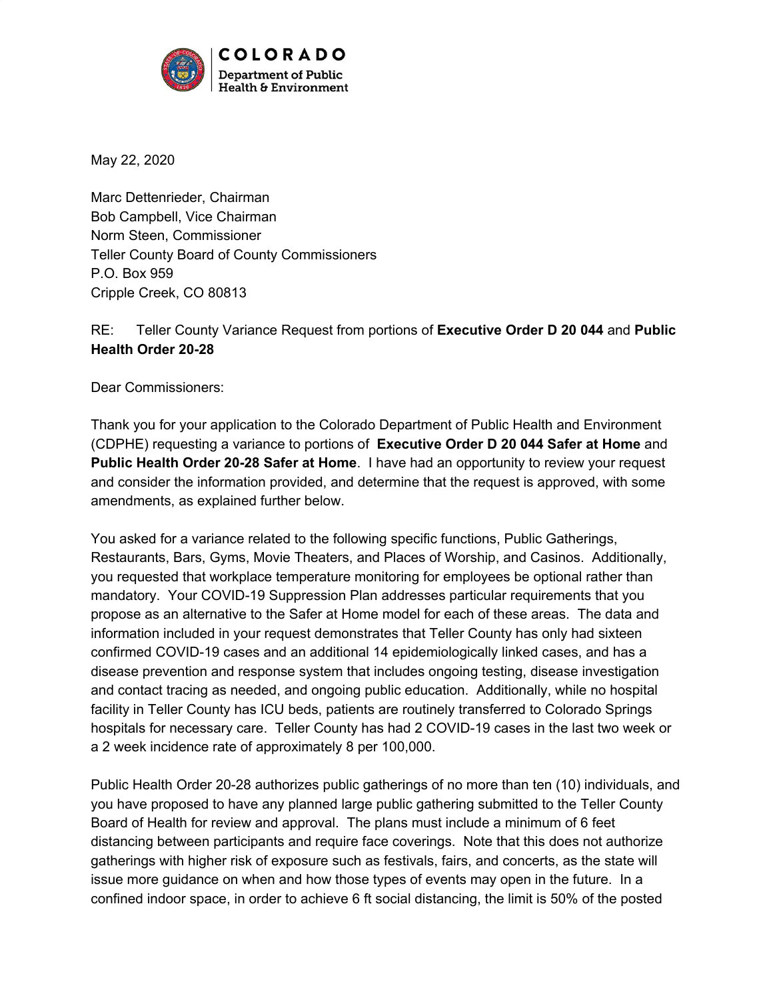

May 22, 2020

Marc Dettenrieder, Chairman Bob Campbell, Vice Chairman Norm Steen, Commissioner Teller County Board of County Commissioners P.O. Box 959 Cripple Creek, CO 80813

## RE: Teller County Variance Request from portions of **Executive Order D 20 044** and **Public Health Order 20-28**

Dear Commissioners:

Thank you for your application to the Colorado Department of Public Health and Environment (CDPHE) requesting a variance to portions of **Executive Order D 20 044 Safer at Home** and **Public Health Order 20-28 Safer at Home**. I have had an opportunity to review your request and consider the information provided, and determine that the request is approved, with some amendments, as explained further below.

You asked for a variance related to the following specific functions, Public Gatherings, Restaurants, Bars, Gyms, Movie Theaters, and Places of Worship, and Casinos. Additionally, you requested that workplace temperature monitoring for employees be optional rather than mandatory. Your COVID-19 Suppression Plan addresses particular requirements that you propose as an alternative to the Safer at Home model for each of these areas. The data and information included in your request demonstrates that Teller County has only had sixteen confirmed COVID-19 cases and an additional 14 epidemiologically linked cases, and has a disease prevention and response system that includes ongoing testing, disease investigation and contact tracing as needed, and ongoing public education. Additionally, while no hospital facility in Teller County has ICU beds, patients are routinely transferred to Colorado Springs hospitals for necessary care. Teller County has had 2 COVID-19 cases in the last two week or a 2 week incidence rate of approximately 8 per 100,000.

Public Health Order 20-28 authorizes public gatherings of no more than ten (10) individuals, and you have proposed to have any planned large public gathering submitted to the Teller County Board of Health for review and approval. The plans must include a minimum of 6 feet distancing between participants and require face coverings. Note that this does not authorize gatherings with higher risk of exposure such as festivals, fairs, and concerts, as the state will issue more guidance on when and how those types of events may open in the future. In a confined indoor space, in order to achieve 6 ft social distancing, the limit is 50% of the posted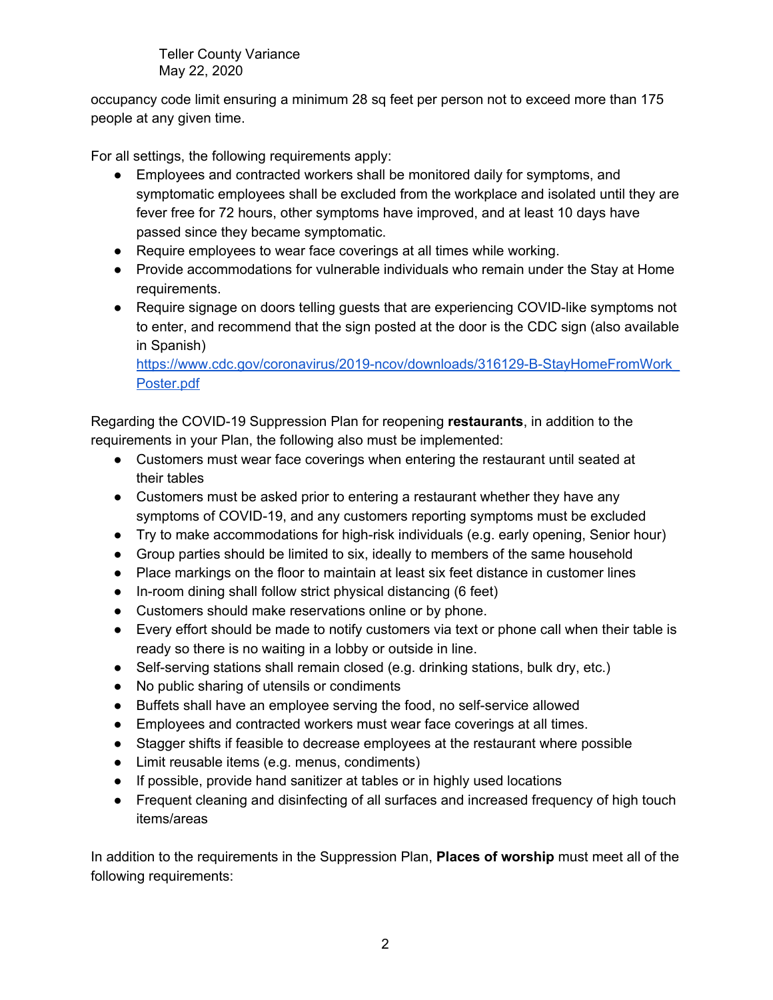Teller County Variance May 22, 2020

occupancy code limit ensuring a minimum 28 sq feet per person not to exceed more than 175 people at any given time.

For all settings, the following requirements apply:

- Employees and contracted workers shall be monitored daily for symptoms, and symptomatic employees shall be excluded from the workplace and isolated until they are fever free for 72 hours, other symptoms have improved, and at least 10 days have passed since they became symptomatic.
- Require employees to wear face coverings at all times while working.
- Provide accommodations for vulnerable individuals who remain under the Stay at Home requirements.
- Require signage on doors telling quests that are experiencing COVID-like symptoms not to enter, and recommend that the sign posted at the door is the CDC sign (also available in Spanish)

[https://www.cdc.gov/coronavirus/2019-ncov/downloads/316129-B-StayHomeFromWork\\_](https://www.cdc.gov/coronavirus/2019-ncov/downloads/316129-B-StayHomeFromWork_Poster.pdf) [Poster.pdf](https://www.cdc.gov/coronavirus/2019-ncov/downloads/316129-B-StayHomeFromWork_Poster.pdf)

Regarding the COVID-19 Suppression Plan for reopening **restaurants**, in addition to the requirements in your Plan, the following also must be implemented:

- Customers must wear face coverings when entering the restaurant until seated at their tables
- Customers must be asked prior to entering a restaurant whether they have any symptoms of COVID-19, and any customers reporting symptoms must be excluded
- Try to make accommodations for high-risk individuals (e.g. early opening, Senior hour)
- Group parties should be limited to six, ideally to members of the same household
- Place markings on the floor to maintain at least six feet distance in customer lines
- In-room dining shall follow strict physical distancing (6 feet)
- Customers should make reservations online or by phone.
- Every effort should be made to notify customers via text or phone call when their table is ready so there is no waiting in a lobby or outside in line.
- Self-serving stations shall remain closed (e.g. drinking stations, bulk dry, etc.)
- No public sharing of utensils or condiments
- Buffets shall have an employee serving the food, no self-service allowed
- Employees and contracted workers must wear face coverings at all times.
- Stagger shifts if feasible to decrease employees at the restaurant where possible
- Limit reusable items (e.g. menus, condiments)
- If possible, provide hand sanitizer at tables or in highly used locations
- Frequent cleaning and disinfecting of all surfaces and increased frequency of high touch items/areas

In addition to the requirements in the Suppression Plan, **Places of worship** must meet all of the following requirements: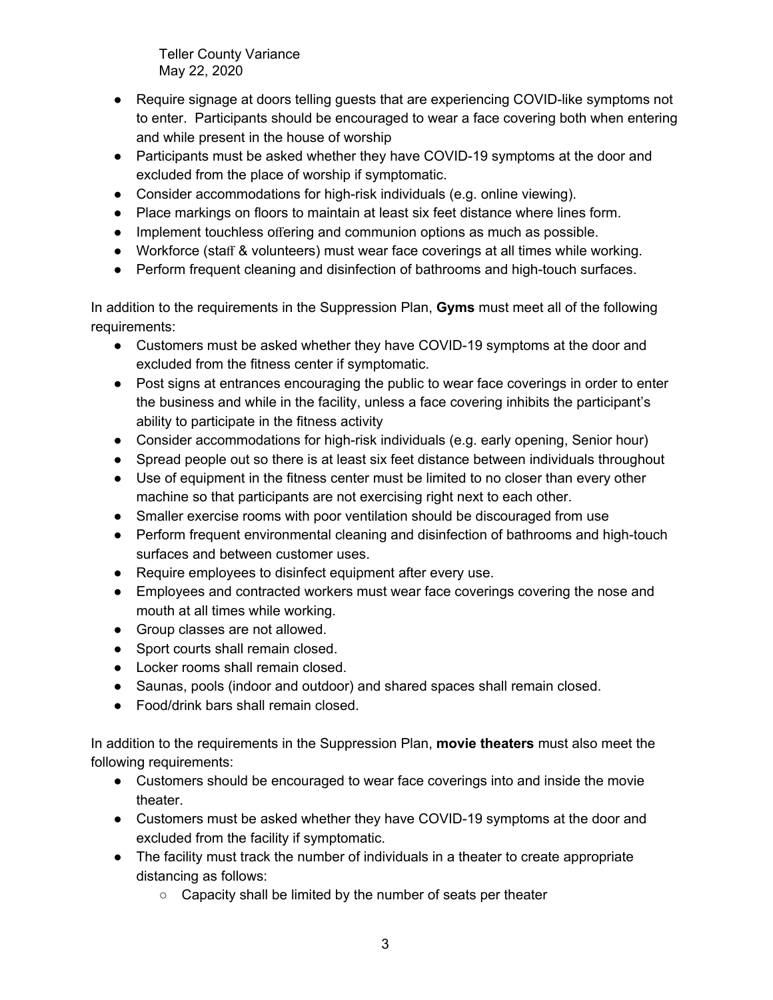Teller County Variance May 22, 2020

- Require signage at doors telling quests that are experiencing COVID-like symptoms not to enter. Participants should be encouraged to wear a face covering both when entering and while present in the house of worship
- Participants must be asked whether they have COVID-19 symptoms at the door and excluded from the place of worship if symptomatic.
- Consider accommodations for high-risk individuals (e.g. online viewing).
- $\bullet$  Place markings on floors to maintain at least six feet distance where lines form.
- Implement touchless offering and communion options as much as possible.
- Workforce (staff & volunteers) must wear face coverings at all times while working.
- Perform frequent cleaning and disinfection of bathrooms and high-touch surfaces.

In addition to the requirements in the Suppression Plan, **Gyms** must meet all of the following requirements:

- Customers must be asked whether they have COVID-19 symptoms at the door and excluded from the fitness center if symptomatic.
- Post signs at entrances encouraging the public to wear face coverings in order to enter the business and while in the facility, unless a face covering inhibits the participant's ability to participate in the fitness activity
- Consider accommodations for high-risk individuals (e.g. early opening, Senior hour)
- Spread people out so there is at least six feet distance between individuals throughout
- Use of equipment in the fitness center must be limited to no closer than every other machine so that participants are not exercising right next to each other.
- Smaller exercise rooms with poor ventilation should be discouraged from use
- Perform frequent environmental cleaning and disinfection of bathrooms and high-touch surfaces and between customer uses.
- Require employees to disinfect equipment after every use.
- Employees and contracted workers must wear face coverings covering the nose and mouth at all times while working.
- Group classes are not allowed.
- Sport courts shall remain closed.
- Locker rooms shall remain closed.
- Saunas, pools (indoor and outdoor) and shared spaces shall remain closed.
- Food/drink bars shall remain closed.

In addition to the requirements in the Suppression Plan, **movie theaters** must also meet the following requirements:

- Customers should be encouraged to wear face coverings into and inside the movie theater.
- Customers must be asked whether they have COVID-19 symptoms at the door and excluded from the facility if symptomatic.
- The facility must track the number of individuals in a theater to create appropriate distancing as follows:
	- Capacity shall be limited by the number of seats per theater